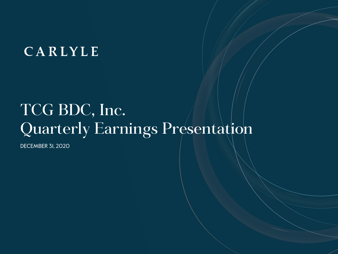# CARLYLE

# TCG BDC, Inc. Quarterly Earnings Presentation

DECEMBER 31, 2020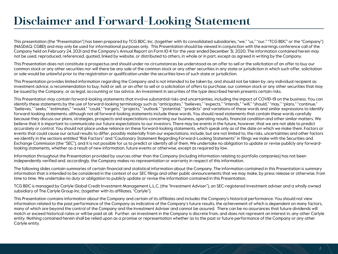# **Disclaimer and Forward-Looking Statement**

This presentation (the "Presentation") has been prepared by TCG BDC, Inc. (together with its consolidated subsidiaries, "we," "us," "our," "TCG BDC" or the "Company") (NASDAQ: CGBD) and may only be used for informational purposes only. This Presentation should be viewed in conjunction with the earnings conference call of the Company held on February 24, 2021 and the Company's Annual Report on Form 10-K for the year ended December 31, 2020. The information contained herein may not be used, reproduced, referenced, quoted, linked by website, or distributed to others, in whole or in part, except as agreed in writing by the Company.

This Presentation does not constitute a prospectus and should under no circumstances be understood as an offer to sell or the solicitation of an offer to buy our common stock or any other securities nor will there be any sale of the common stock or any other securities in any state or jurisdiction in which such offer, solicitation or sale would be unlawful prior to the registration or qualification under the securities laws of such state or jurisdiction.

This Presentation provides limited information regarding the Company and is not intended to be taken by, and should not be taken by, any individual recipient as investment advice, a recommendation to buy, hold or sell, or an offer to sell or a solicitation of offers to purchase, our common stock or any other securities that may be issued by the Company, or as legal, accounting or tax advice. An investment in securities of the type described herein presents certain risks.

This Presentation may contain forward-looking statements that involve substantial risks and uncertainties, including the impact of COVID-19 on the business. You can identify these statements by the use of forward-looking terminology such as "anticipates," "believes," "expects," "intends," "iwill," "should," "may," "plans," "continue," "believes," "seeks," "estimates," "would," "could," "targets," "projects," "outlook," "potential," "predicts" and variations of these words and similar expressions to identify forward-looking statements, although not all forward-looking statements include these words. You should read statements that contain these words carefully because they discuss our plans, strategies, prospects and expectations concerning our business, operating results, financial condition and other similar matters. We believe that it is important to communicate our future expectations to our investors. There may be events in the future, however, that we are not able to predict accurately or control. You should not place undue reliance on these forward-looking statements, which speak only as of the date on which we make them. Factors or events that could cause our actual results to differ, possibly materially from our expectations, include, but are not limited to, the risks, uncertainties and other factors we identify in the sections entitled "Risk Factors" and "Cautionary Statement Regarding Forward-Looking Statements" in filings we make with the Securities and Exchange Commission (the "SEC"), and it is not possible for us to predict or identify all of them. We undertake no obligation to update or revise publicly any forwardlooking statements, whether as a result of new information, future events or otherwise, except as required by law.

Information throughout the Presentation provided by sources other than the Company (including information relating to portfolio companies) has not been independently verified and, accordingly, the Company makes no representation or warranty in respect of this information.

The following slides contain summaries of certain financial and statistical information about the Company. The information contained in this Presentation is summary information that is intended to be considered in the context of our SEC filings and other public announcements that we may make, by press release or otherwise, from time to time. We undertake no duty or obligation to publicly update or revise the information contained in this Presentation.

TCG BDC is managed by Carlyle Global Credit Investment Management L.L.C. (the "Investment Adviser"), an SEC-registered investment adviser and a wholly owned subsidiary of The Carlyle Group Inc. (together with its affiliates, "Carlyle").

This Presentation contains information about the Company and certain of its affiliates and includes the Company's historical performance. You should not view information related to the past performance of the Company as indicative of the Company's future results, the achievement of which is dependent on many factors, many of which are beyond the control of the Company and the Investment Adviser and cannot be assured. There can be no assurances that future dividends will match or exceed historical rates or will be paid at all. Further, an investment in the Company is discrete from, and does not represent an interest in, any other Carlyle entity. Nothing contained herein shall be relied upon as a promise or representation whether as to the past or future performance of the Company or any other Carlyle entity.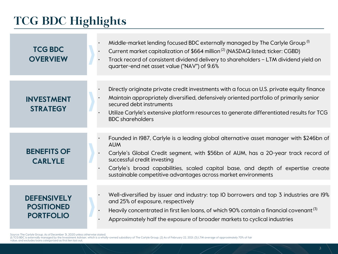# **TCG BDC Highlights**

| <b>TCG BDC</b><br><b>OVERVIEW</b>                           | Middle-market lending focused BDC externally managed by The Carlyle Group <sup>(1)</sup><br>Current market capitalization of \$664 million <sup>(2)</sup> (NASDAQ listed; ticker: CGBD)<br>Track record of consistent dividend delivery to shareholders - LTM dividend yield on<br>quarter-end net asset value ("NAV") of 9.6%                                                 |
|-------------------------------------------------------------|--------------------------------------------------------------------------------------------------------------------------------------------------------------------------------------------------------------------------------------------------------------------------------------------------------------------------------------------------------------------------------|
|                                                             |                                                                                                                                                                                                                                                                                                                                                                                |
| <b>INVESTMENT</b><br><b>STRATEGY</b>                        | Directly originate private credit investments with a focus on U.S. private equity finance<br>Maintain appropriately diversified, defensively oriented portfolio of primarily senior<br>secured debt instruments<br>Utilize Carlyle's extensive platform resources to generate differentiated results for TCG<br><b>BDC</b> shareholders                                        |
|                                                             |                                                                                                                                                                                                                                                                                                                                                                                |
| <b>BENEFITS OF</b><br><b>CARLYLE</b>                        | Founded in 1987, Carlyle is a leading global alternative asset manager with \$246bn of<br><b>AUM</b><br>Carlyle's Global Credit segment, with \$56bn of AUM, has a 20-year track record of<br>successful credit investing<br>Carlyle's broad capabilities, scaled capital base, and depth of expertise create<br>sustainable competitive advantages across market environments |
|                                                             |                                                                                                                                                                                                                                                                                                                                                                                |
| <b>DEFENSIVELY</b><br><b>POSITIONED</b><br><b>PORTFOLIO</b> | Well-diversified by issuer and industry: top IO borrowers and top 3 industries are I9%<br>and 25% of exposure, respectively<br>Heavily concentrated in first lien loans, of which 90% contain a financial covenant <sup>(3)</sup><br>Approximately half the exposure of broader markets to cyclical industries                                                                 |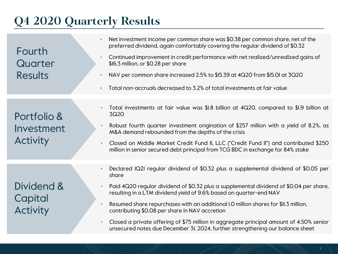# **Q4 2020 Quarterly Results**

| Fourth<br>Quarter<br><b>Results</b>          | Net investment income per common share was \$0.38 per common share, net of the<br>preferred dividend, again comfortably covering the regular dividend of \$0.32<br>Continued improvement in credit performance with net realized/unrealized gains of<br>$\bullet$<br>\$16.3 million, or \$0.28 per share<br>NAV per common share increased 2.5% to \$15.39 at 4Q20 from \$15.01 at 3Q20<br>Total non-accruals decreased to 3.2% of total investments at fair value<br>$\bullet$                                                                                                                                           |
|----------------------------------------------|---------------------------------------------------------------------------------------------------------------------------------------------------------------------------------------------------------------------------------------------------------------------------------------------------------------------------------------------------------------------------------------------------------------------------------------------------------------------------------------------------------------------------------------------------------------------------------------------------------------------------|
| Portfolio &<br>Investment<br><b>Activity</b> | Total investments at fair value was \$1.8 billion at 4Q20, compared to \$1.9 billion at<br>$\bullet$<br>3Q20<br>Robust fourth quarter investment origination of \$257 million with a yield of 8.2%, as<br>$\bullet$<br>M&A demand rebounded from the depths of the crisis<br>Closed on Middle Market Credit Fund II, LLC ("Credit Fund II") and contributed \$250<br>$\bullet$<br>million in senior secured debt principal from TCG BDC in exchange for 84% stake                                                                                                                                                         |
| Dividend &<br>Capital<br><b>Activity</b>     | Declared IQ2I regular dividend of \$0.32 plus a supplemental dividend of \$0.05 per<br>$\bullet$<br>share<br>Paid 4Q20 regular dividend of \$0.32 plus a supplemental dividend of \$0.04 per share,<br>$\bullet$<br>resulting in a LTM dividend yield of 9.6% based on quarter-end NAV<br>Resumed share repurchases with an additional I.O million shares for \$II.3 million,<br>$\bullet$<br>contributing \$0.08 per share in NAV accretion<br>Closed a private offering of \$75 million in aggregate principal amount of 4.50% senior<br>unsecured notes due December 3I, 2024, further strengthening our balance sheet |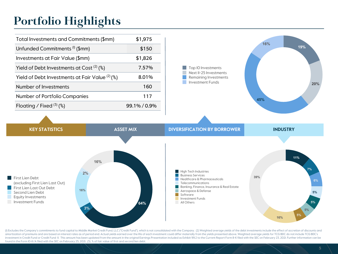# **Portfolio Highlights**

| \$1,975      |
|--------------|
| \$150        |
| \$1,826      |
| 7.57%        |
| 8.01%        |
| 160          |
| 117          |
| 99.1% / 0.9% |
|              |



**64% 3% 16% 2% 16%** First Lien Debt (excluding First Lien Last Out) **First Lien Last Out Debt** Second Lien Debt Equity Investments **Investment Funds 11% 7% 6% 5% 5% 5% 5% 16% 39% High Tech Industries Business Services** Healthcare & Pharmaceuticals Telecommunications Banking, Finance, Insurance & Real Estate Aerospace & Defense Software **Investment Funds** All Others

(I) Excludes the Company's commitments to fund capital to Middle Market Credit Fund, LLC ("Credit Fund"), which is not consolidated with the Company. (2) Weighted average yields of the debt investments include the effect o amortization of premiums and are based on interest rates as of period end. Actual yields earned over the life of each investment could differ materially from the yields presented above. Weighted average yields for TCG BDC investment in Credit Fund or Credit Fund II. This amount has been updated from the amount in the original Earnings Presentation included as Exhibit 99.2 to the Current Report Form 8-K filed with the SEC on February 23, 202 found in the Form 10-K/A filed with the SEC on February 25, 2021. (3) % of fair value of first and second lien debt.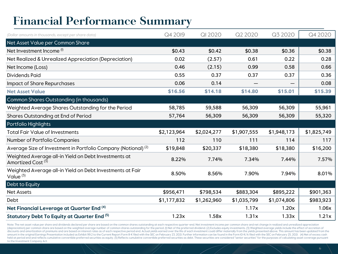# **Financial Performance Summary**

| (Dollar amounts in thousands, except per share data)                                  | Q4 2019     | <b>QI 2020</b> | Q2 2020     | Q3 2020     | Q4 2020     |
|---------------------------------------------------------------------------------------|-------------|----------------|-------------|-------------|-------------|
| Net Asset Value per Common Share                                                      |             |                |             |             |             |
| Net Investment Income <sup>(I)</sup>                                                  | \$0.43      | \$0.42         | \$0.38      | \$0.36      | \$0.38      |
| Net Realized & Unrealized Appreciation (Depreciation)                                 | 0.02        | (2.57)         | 0.61        | 0.22        | 0.28        |
| Net Income (Loss)                                                                     | 0.46        | (2.15)         | 0.99        | 0.58        | 0.66        |
| <b>Dividends Paid</b>                                                                 | 0.55        | 0.37           | 0.37        | 0.37        | 0.36        |
| <b>Impact of Share Repurchases</b>                                                    | 0.06        | 0.14           |             |             | 0.08        |
| <b>Net Asset Value</b>                                                                | \$16.56     | \$14.18        | \$14.80     | \$15.01     | \$15.39     |
| Common Shares Outstanding (in thousands)                                              |             |                |             |             |             |
| Weighted Average Shares Outstanding for the Period                                    | 58,785      | 59,588         | 56,309      | 56,309      | 55,961      |
| Shares Outstanding at End of Period                                                   | 57,764      | 56,309         | 56,309      | 56,309      | 55,320      |
| Portfolio Highlights                                                                  |             |                |             |             |             |
| <b>Total Fair Value of Investments</b>                                                | \$2,123,964 | \$2,024,277    | \$1,907,555 | \$1,948,173 | \$1,825,749 |
| Number of Portfolio Companies                                                         | 112         | 110            | 111         | 114         | 117         |
| Average Size of Investment in Portfolio Company (Notional) <sup>(2)</sup>             | \$19,848    | \$20,337       | \$18,380    | \$18,380    | \$16,200    |
| Weighted Average all-in Yield on Debt Investments at<br>Amortized Cost <sup>(3)</sup> | 8.22%       | 7.74%          | 7.34%       | 7.44%       | 7.57%       |
| Weighted Average all-in Yield on Debt Investments at Fair<br>Value $(3)$              | 8.50%       | 8.56%          | 7.90%       | 7.94%       | 8.01%       |
| Debt to Equity                                                                        |             |                |             |             |             |
| <b>Net Assets</b>                                                                     | \$956,471   | \$798,534      | \$883,304   | \$895,222   | \$901,363   |
| Debt                                                                                  | \$1,177,832 | \$1,262,960    | \$1,035,799 | \$1,074,806 | \$983,923   |
| Net Financial Leverage at Quarter End (4)                                             |             |                | 1.17x       | 1.20x       | 1.06x       |
| Statutory Debt To Equity at Quarter End (5)                                           | 1.23x       | 1.58x          | 1.31x       | 1.33x       | 1.21x       |

Note: The net asset value per share and dividends declared per share are based on the common shares outstanding at each respective quarter-end. Net investment income per common share and net change in realized and unrealiz (depreciation) per common share are based on the weighted average number of common shares outstanding for the period. (I) Net of the preferred dividend. (2) Excludes equity investments. (3) Weighted average yields include discounts and amortization of premiums and are based on interest rates as of each respective period end. Actual yields earned over the life of each investment could differ materially from the yields presented above. This a amount in the original Earnings Presentation included as Exhibit 99.2 to the Current Report Form 8-K filed with the SEC on February 23, 2021. Further information can be found in the Form IO-K/A filed with the SEC on Februa held at period end and reflects cumulative convertible preferred securities as equity. (5) Reflects cumulative convertible preferred securities as debt. These securities are considered "senior securities" for the purposes to the Investment Company Act.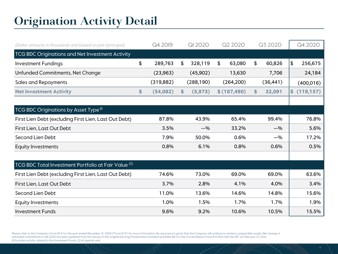# **Origination Activity Detail**

| (Dollar amounts in thousands and based on par/principal)        | Q4 2019        |    | <b>QI 2020</b> | Q2 2020      | Q3 2020      | Q4 2020          |
|-----------------------------------------------------------------|----------------|----|----------------|--------------|--------------|------------------|
| TCG BDC Originations and Net Investment Activity                |                |    |                |              |              |                  |
| <b>Investment Fundings</b>                                      | \$<br>289,763  | \$ | 328,119        | \$<br>63,080 | \$<br>60,826 | \$<br>256,675    |
| Unfunded Commitments, Net Change                                | (23, 963)      |    | (45,902)       | 13,630       | 7,706        | 24,184           |
| <b>Sales and Repayments</b>                                     | (319, 882)     |    | (288, 190)     | (264, 200)   | (36, 441)    | (400, 016)       |
| <b>Net Investment Activity</b>                                  | \$<br>(54,082) | S  | (5, 973)       | \$(187, 490) | \$<br>32,091 | \$<br>(119, 157) |
|                                                                 |                |    |                |              |              |                  |
| TCG BDC Originations by Asset Type <sup>(1)</sup>               |                |    |                |              |              |                  |
| First Lien Debt (excluding First Lien, Last Out Debt)           | 87.8%          |    | 43.9%          | 65.4%        | 99.4%        | 76.8%            |
| First Lien, Last Out Debt                                       | 3.5%           |    | $-$ %          | 33.2%        | $-$ %        | 5.6%             |
| Second Lien Debt                                                | 7.9%           |    | 50.0%          | 0.6%         | $-$ %        | 17.2%            |
| Equity Investments                                              | 0.8%           |    | 6.1%           | 0.8%         | 0.6%         | 0.5%             |
|                                                                 |                |    |                |              |              |                  |
| TCG BDC Total Investment Portfolio at Fair Value <sup>(2)</sup> |                |    |                |              |              |                  |
| First Lien Debt (excluding First Lien, Last Out Debt)           | 74.6%          |    | 73.0%          | 69.0%        | 69.0%        | 63.6%            |
| First Lien, Last Out Debt                                       | 3.7%           |    | 2.8%           | 4.1%         | 4.0%         | 3.4%             |
| Second Lien Debt                                                | 11.0%          |    | 13.6%          | 14.6%        | 14.8%        | 15.6%            |
| Equity Investments                                              | 1.0%           |    | 1.5%           | 1.7%         | 1.7%         | 1.9%             |
| <b>Investment Funds</b>                                         | 9.6%           |    | 9.2%           | 10.6%        | 10.5%        | 15.5%            |

Please refer to the Company's Form IO-K for the year ended December 31, 2020 ("Form IO-K") for more information. No assurance is given that the Company will continue to achieve comparable results. Net change in unfunded commitments in Q4 2020 has been updated from the amount in the original Earnings Presentation included as Exhibit 99.2 to the Current Report Form 8-K filed with the SEC on February 23, 2021. (1) Excludes activity related to the Investment Funds. (2) At quarter end.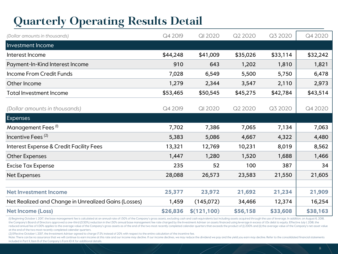# **Quarterly Operating Results Detail**

| (Dollar amounts in thousands)                        | Q4 2019  | QI 2020      | Q2 2020  | Q3 2020  | Q4 2020  |
|------------------------------------------------------|----------|--------------|----------|----------|----------|
| Investment Income                                    |          |              |          |          |          |
| Interest Income                                      | \$44,248 | \$41,009     | \$35,026 | \$33,114 | \$32,242 |
| Payment-In-Kind Interest Income                      | 910      | 643          | 1,202    | 1,810    | 1,821    |
| Income From Credit Funds                             | 7,028    | 6,549        | 5,500    | 5,750    | 6,478    |
| Other Income                                         | 1,279    | 2,344        | 3,547    | 2,110    | 2,973    |
| <b>Total Investment Income</b>                       | \$53,465 | \$50,545     | \$45,275 | \$42,784 | \$43,514 |
| (Dollar amounts in thousands)                        | Q4 2019  | QI 2020      | Q2 2020  | Q3 2020  | Q4 2020  |
| <b>Expenses</b>                                      |          |              |          |          |          |
| Management Fees <sup>(I)</sup>                       | 7,702    | 7,386        | 7,065    | 7,134    | 7,063    |
| Incentive Fees <sup>(2)</sup>                        | 5,383    | 5,086        | 4,667    | 4,322    | 4,480    |
| <b>Interest Expense &amp; Credit Facility Fees</b>   | 13,321   | 12,769       | 10,231   | 8,019    | 8,562    |
| <b>Other Expenses</b>                                | 1,447    | 1,280        | 1,520    | 1,688    | 1,466    |
| <b>Excise Tax Expense</b>                            | 235      | 52           | 100      | 387      | 34       |
| Net Expenses                                         | 28,088   | 26,573       | 23,583   | 21,550   | 21,605   |
|                                                      |          |              |          |          |          |
| <b>Net Investment Income</b>                         | 25,377   | 23,972       | 21,692   | 21,234   | 21,909   |
| Net Realized and Change in Unrealized Gains (Losses) | 1,459    | (145,072)    | 34,466   | 12,374   | 16,254   |
| <b>Net Income (Loss)</b>                             | \$26,836 | \$(121, 100) | \$56,158 | \$33,608 | \$38,163 |

(I) Beginning October I, 2017, the base management fee is calculated at an annual rate of I.50% of the Company's gross assets, excluding cash and cash equivalents but including assets acquired through the use of leverage. the Company's Board of Directors approved a one-third (0.50%) reduction in the I.50% annual base management fee rate charged by the Investment Adviser on assets financed using leverage in excess of I.Ox debt to equity. Eff reduced annual fee of I.00% applies to the average value of the Company's gross assets as of the end of the two most recently completed calendar quarters that exceeds the product of (i) 200% and (ii) the average value of t at the end of the two most recently completed calendar quarters.

(2) Effective October 1, 2017, the Investment Adviser agreed to charge 17.5% instead of 20% with respect to the entire calculation of the incentive fee.

Note: There can be no assurance that we will continue to earn income at this rate and our income may decline. If our income declines, we may reduce the dividend we pay and the yield you earn may decline. Refer to the conso included in Part II, Item 8 of the Company's Form 10-K for additional details.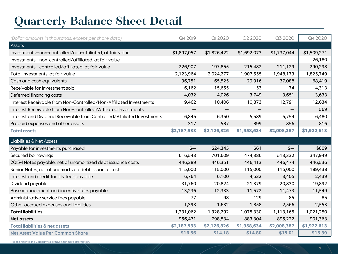# **Quarterly Balance Sheet Detail**

| (Dollar amounts in thousands, except per share data)                    | Q4 2019     | QI 2020     | Q2 2020     | Q3 2020     | Q4 2020     |
|-------------------------------------------------------------------------|-------------|-------------|-------------|-------------|-------------|
| Assets                                                                  |             |             |             |             |             |
| Investments-non-controlled/non-affiliated, at fair value                | \$1,897,057 | \$1,826,422 | \$1,692,073 | \$1,737,044 | \$1,509,271 |
| Investments-non-controlled/affiliated, at fair value                    |             |             |             |             | 26,180      |
| Investments-controlled/affiliated, at fair value                        | 226,907     | 197,855     | 215,482     | 211,129     | 290,298     |
| Total investments, at fair value                                        | 2,123,964   | 2,024,277   | 1,907,555   | 1,948,173   | 1,825,749   |
| Cash and cash equivalents                                               | 36,751      | 65,525      | 29,916      | 37,088      | 68,419      |
| Receivable for investment sold                                          | 6,162       | 15,655      | 53          | 74          | 4,313       |
| Deferred financing costs                                                | 4,032       | 4,026       | 3,749       | 3,651       | 3,633       |
| Interest Receivable from Non-Controlled/Non-Affiliated Investments      | 9,462       | 10,406      | 10,873      | 12,791      | 12,634      |
| Interest Receivable from Non-Controlled/Affiliated Investments          |             |             |             |             | 569         |
| Interest and Dividend Receivable from Controlled/Affiliated Investments | 6,845       | 6,350       | 5,589       | 5,754       | 6,480       |
| Prepaid expenses and other assets                                       | 317         | 587         | 899         | 856         | 816         |
| <b>Total assets</b>                                                     | \$2,187,533 | \$2,126,826 | \$1,958,634 | \$2,008,387 | \$1,922,613 |
|                                                                         |             |             |             |             |             |
| <b>Liabilities &amp; Net Assets</b>                                     |             |             |             |             |             |
| Payable for investments purchased                                       | $$ -$       | \$24,345    | \$61        | $$ -$       | \$809       |
| Secured borrowings                                                      | 616,543     | 701,609     | 474,386     | 513,332     | 347,949     |
| 2015-I Notes payable, net of unamortized debt issuance costs            | 446,289     | 446,351     | 446,413     | 446,474     | 446,536     |
| Senior Notes, net of unamortized debt issuance costs                    | 115,000     | 115,000     | 115,000     | 115,000     | 189,438     |
| Interest and credit facility fees payable                               | 6,764       | 6,100       | 4,532       | 3,405       | 2,439       |
| Dividend payable                                                        | 31,760      | 20,824      | 21,379      | 20,830      | 19,892      |
| Base management and incentive fees payable                              | 13,236      | 12,333      | 11,572      | 11,473      | 11,549      |
| Administrative service fees payable                                     | 77          | 98          | 129         | 85          | 85          |
| Other accrued expenses and liabilities                                  | 1,393       | 1,632       | 1,858       | 2,566       | 2,553       |
| <b>Total liabilities</b>                                                | 1,231,062   | 1,328,292   | 1,075,330   | 1,113,165   | 1,021,250   |
| <b>Net assets</b>                                                       | 956,471     | 798,534     | 883,304     | 895,222     | 901,363     |
| <b>Total liabilities &amp; net assets</b>                               | \$2,187,533 | \$2,126,826 | \$1,958,634 | \$2,008,387 | \$1,922,613 |

Please refer to the Company's Form 10-K for more information.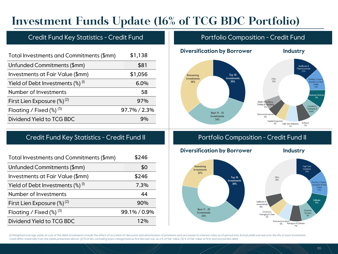## **Investment Funds Update (16% of TCG BDC Portfolio)**

### Credit Fund Key Statistics - Credit Fund Portfolio Composition - Credit Fund

| Total Investments and Commitments (\$mm)                 | \$1,138      |
|----------------------------------------------------------|--------------|
| Unfunded Commitments (\$mm)                              | \$81         |
| Investments at Fair Value (\$mm)                         | \$1,056      |
| Yield of Debt Investments $\left(\frac{a}{b}\right)$ (i) | 6.0%         |
| Number of Investments                                    | 58           |
| First Lien Exposure $(\%)^{(2)}$                         | 97%          |
| Floating / Fixed $(\%)^{(3)}$                            | 97.7% / 2.3% |
| Dividend Yield to TCG BDC                                | 9%           |

### Credit Fund Key Statistics - Credit Fund II **Portfolio Composition - Credit Fund II**

| Total Investments and Commitments (\$mm)        | \$246        |
|-------------------------------------------------|--------------|
| Unfunded Commitments (\$mm)                     | \$0          |
| Investments at Fair Value (\$mm)                | \$246        |
| Yield of Debt Investments $(\%)$ <sup>(i)</sup> | 7.3%         |
| Number of Investments                           | 44           |
| First Lien Exposure $(\%)^{(2)}$                | 90%          |
| Floating / Fixed $(\%)^{(3)}$                   | 99.1% / 0.9% |
| Dividend Yield to TCG BDC                       | 12%          |

#### **Diversification by Borrower Industry** Healthcare & Pharmaceuticals 13% Top 10 Remaining Investments Investments Other Banking, Finan 30%  $30%$ 36% surance & Rea Estate 12% ss Ser 9% Media: Advertising, Printing & Publishing Containers Packaging & Glass Next 11 - 25 Telecommunicat Investments



Containers

Packaging & Glass

6%

Telecommunications 6%

(I) Weighted average yields at cost of the debt investments include the effect of accretion of discounts and amortization of premiums and are based on interest rates as of period end. Actual yields earned over the life of could differ materially from the yields presented above. (2) First lien, excluding loans categorized as first lien last out, as a % of fair value. (3) % of fair value of first and second lien debt

34%

**Remaining** 

**Investments** 

22%

Next 11 - 25

**Investments** 

42%

5%

Capital Equipment

 $5%$ 

Software

 $7%$ 

**Business** 

Services

8%

Aerospace & Defense 7%

High Tech Industries

 $7%$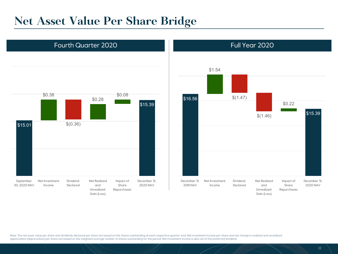### **Net Asset Value Per Share Bridge**



#### \$16.56 \$1.54  $$(1.47)$ \$(1.46) \$0.22 \$15.39 December 31, 2019 NAV Net Investment Income Dividend Declared Net Realized and Unrealized Gain (Loss) Impact of Share Repurchases December 31, 2020 NAV

Note: The net asset value per share and dividends declared per share are based on the shares outstanding at each respective quarter-end. Net investment income per share and net change in realized and unrealized appreciation (depreciation) per share are based on the weighted average number of shares outstanding for the period. Net investment income is also net of the preferred dividend.

Fourth Quarter 2020 **Full Year 2020 Full Year 2020**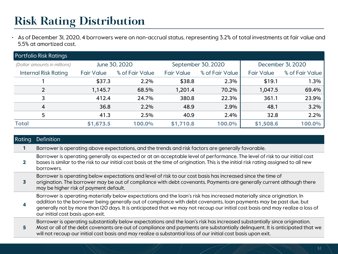# **Risk Rating Distribution**

• As of December 31, 2020, 4 borrowers were on non-accrual status, representing 3.2% of total investments at fair value and 5.5% at amortized cost.

| <b>Portfolio Risk Ratings</b> |                   |                                     |                   |                 |                   |                   |  |  |
|-------------------------------|-------------------|-------------------------------------|-------------------|-----------------|-------------------|-------------------|--|--|
| (Dollar amounts in millions)  |                   | June 30, 2020<br>September 30, 2020 |                   |                 |                   | December 3I, 2020 |  |  |
| <b>Internal Risk Rating</b>   | <b>Fair Value</b> | % of Fair Value                     | <b>Fair Value</b> | % of Fair Value | <b>Fair Value</b> | % of Fair Value   |  |  |
|                               | \$37.3            | 2.2%                                | \$38.8            | 2.3%            | \$19.1            | 1.3%              |  |  |
| 2                             | 1,145.7           | 68.5%                               | 1,201.4           | 70.2%           | 1,047.5           | 69.4%             |  |  |
| 3                             | 412.4             | 24.7%                               | 380.8             | 22.3%           | 361.1             | 23.9%             |  |  |
| $\overline{4}$                | 36.8              | 2.2%                                | 48.9              | 2.9%            | 48.1              | 3.2%              |  |  |
| 5                             | 41.3              | 2.5%                                | 40.9              | 2.4%            | 32.8              | 2.2%              |  |  |
| <b>Total</b>                  | \$1,673.5         | 100.0%                              | \$1,710.8         | 100.0%          | \$1,508.6         | 100.0%            |  |  |

| <b>Rating</b> | <b>Definition</b>                                                                                                                                                                                                                                                                                                                                                                                                   |
|---------------|---------------------------------------------------------------------------------------------------------------------------------------------------------------------------------------------------------------------------------------------------------------------------------------------------------------------------------------------------------------------------------------------------------------------|
|               | Borrower is operating above expectations, and the trends and risk factors are generally favorable.                                                                                                                                                                                                                                                                                                                  |
|               | Borrower is operating generally as expected or at an acceptable level of performance. The level of risk to our initial cost<br>bases is similar to the risk to our initial cost basis at the time of origination. This is the initial risk rating assigned to all new<br>borrowers.                                                                                                                                 |
|               | Borrower is operating below expectations and level of risk to our cost basis has increased since the time of<br>origination. The borrower may be out of compliance with debt covenants. Payments are generally current although there<br>may be higher risk of payment default.                                                                                                                                     |
|               | Borrower is operating materially below expectations and the loan's risk has increased materially since origination. In<br>addition to the borrower being generally out of compliance with debt covenants, loan payments may be past due, but<br>generally not by more than I2O days. It is anticipated that we may not recoup our initial cost basis and may realize a loss of<br>our initial cost basis upon exit. |
| 5.            | Borrower is operating substantially below expectations and the loan's risk has increased substantially since origination.<br>Most or all of the debt covenants are out of compliance and payments are substantially delinquent. It is anticipated that we<br>will not recoup our initial cost basis and may realize a substantial loss of our initial cost basis upon exit.                                         |
|               |                                                                                                                                                                                                                                                                                                                                                                                                                     |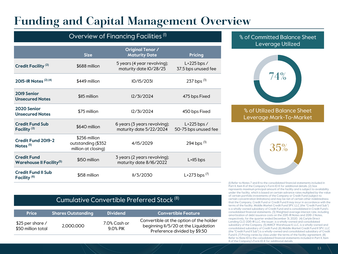# **Funding and Capital Management Overview**

### Overview of Financing Facilities<sup>(1)</sup>

|                                                                   | <b>Size</b>                                                | <b>Original Tenor /</b><br><b>Maturity Date</b>         | <b>Pricing</b>                        |
|-------------------------------------------------------------------|------------------------------------------------------------|---------------------------------------------------------|---------------------------------------|
| <b>Credit Facility (2)</b>                                        | \$688 million                                              | 5 years (4 year revolving);<br>maturity date IO/28/25   | $L+225$ bps /<br>37.5 bps unused fee  |
| 2015-IR Notes (2) (4)                                             | \$449 million                                              | 10/15/2031                                              | 237 bps $(3)$                         |
| 2019 Senior<br><b>Unsecured Notes</b>                             | \$115 million                                              | 12/31/2024                                              | 475 bps Fixed                         |
| 2020 Senior<br><b>Unsecured Notes</b>                             | \$75 million                                               | 12/31/2024                                              | 450 bps Fixed                         |
| <b>Credit Fund Sub</b><br>Facility <sup>(2)</sup>                 | \$640 million                                              | 6 years (3 years revolving);<br>maturity date 5/22/2024 | $L+225$ bps /<br>50-75 bps unused fee |
| Credit Fund 2019-2<br>Notes $(5)$                                 | \$256 million<br>outstanding (\$352<br>million at closing) | 4/15/2029                                               | 294 bps $(3)$                         |
| <b>Credit Fund</b><br><b>Warehouse II Facility</b> <sup>(5)</sup> | \$150 million                                              | 3 years (2 years revolving);<br>maturity date 8/16/2022 | $L+II5$ bps                           |
| <b>Credit Fund II Sub</b><br>Facility <sup>(6)</sup>              | \$158 million                                              | I1/3/2030                                               | $L+273$ bps $(7)$                     |

#### % of Committed Balance Sheet Leverage Utilized



% of Utilized Balance Sheet Leverage Mark-To-Market



(1) Refer to Notes 7 and 8 to the consolidated financial statements included in Part II, Item 8 of the Company's Form 10-K for additional details. (2) Size represents maximum principal amount of the facility and is subject to availability under the facility, which is based on certain advance rates multiplied by the value of certain portfolio investments of the Company or Credit Fund (subject to certain concentration limitations) and may be net of certain other indebtedness that the Company, Credit Fund or Credit Fund II may incur in accordance with the terms of the facility. Middle Market Credit Fund SPV, LLC (the "Credit Fund Sub") is a wholly-owned subsidiary of Credit Fund and is consolidated in Credit Fund's consolidated financial statements. (3) Weighted average interest rate, including amortization of debt issuance costs on the 2015-1R Notes and 2019-2 Notes, respectively, for the quarter ended December 31, 2020. (4) Carlyle Direct Lending CLO 2015-1R LLC, the issuer, is a wholly-owned and consolidated subsidiary of the Company. (5) MMCF Warehouse II, LLC, is a wholly-owned and consolidated subsidiary of Credit Fund. (6) Middle Market Credit Fund II SPV, LLC (the "Credit Fund II Sub") is a wholly-owned and consolidated subsidiary of Credit Fund II. (7) Pricing varies by class under the terms of the facility agreement. (8) Refer to Note 10 to the consolidated financial statements included in Part II, Item 8 of the Company's Form 10-K for additional details.

| Cumulative Convertible Preferred Stock (8) I |  |
|----------------------------------------------|--|
|----------------------------------------------|--|

| <b>Price</b>                           | ' Shares Outstanding , | <b>Dividend</b>             | l Convertible Feature '                                                                                         |
|----------------------------------------|------------------------|-----------------------------|-----------------------------------------------------------------------------------------------------------------|
| \$25 per share /<br>\$50 million total | 2.000.000              | 7.0% Cash or<br>$9.0\%$ PIK | Convertible at the option of the holder<br>beginning II/5/20 at the Liquidation<br>Preference divided by \$9.50 |